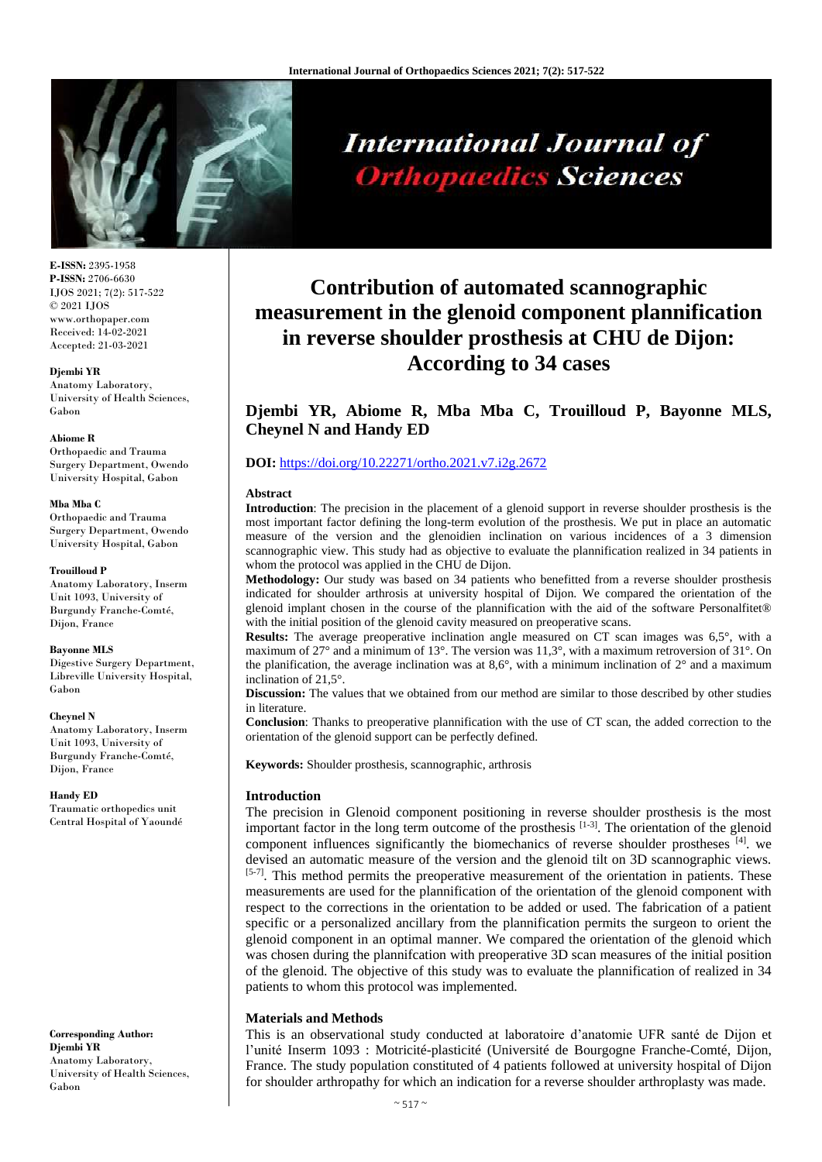

**International Journal of Orthopaedics Sciences** 

#### **E-ISSN:** 2395-1958 **P-ISSN:** 2706-6630 IJOS 2021; 7(2): 517-522 © 2021 IJOS www.orthopaper.com Received: 14-02-2021 Accepted: 21-03-2021

#### **Djembi YR**

Anatomy Laboratory, University of Health Sciences, Gabon

#### **Abiome R**

Orthopaedic and Trauma Surgery Department, Owendo University Hospital, Gabon

#### **Mba Mba C**

Orthopaedic and Trauma Surgery Department, Owendo University Hospital, Gabon

#### **Trouilloud P**

Anatomy Laboratory, Inserm Unit 1093, University of Burgundy Franche-Comté, Dijon, France

#### **Bayonne MLS**

Digestive Surgery Department, Libreville University Hospital, Gabon

#### **Cheynel N**

Anatomy Laboratory, Inserm Unit 1093, University of Burgundy Franche-Comté, Dijon, France

#### **Handy ED**

Traumatic orthopedics unit Central Hospital of Yaoundé

**Corresponding Author: Djembi YR** Anatomy Laboratory, University of Health Sciences, Gabon

# **Contribution of automated scannographic measurement in the glenoid component plannification in reverse shoulder prosthesis at CHU de Dijon: According to 34 cases**

**Djembi YR, Abiome R, Mba Mba C, Trouilloud P, Bayonne MLS, Cheynel N and Handy ED**

# **DOI:** <https://doi.org/10.22271/ortho.2021.v7.i2g.2672>

## **Abstract**

**Introduction**: The precision in the placement of a glenoid support in reverse shoulder prosthesis is the most important factor defining the long-term evolution of the prosthesis. We put in place an automatic measure of the version and the glenoidien inclination on various incidences of a 3 dimension scannographic view. This study had as objective to evaluate the plannification realized in 34 patients in whom the protocol was applied in the CHU de Dijon.

**Methodology:** Our study was based on 34 patients who benefitted from a reverse shoulder prosthesis indicated for shoulder arthrosis at university hospital of Dijon. We compared the orientation of the glenoid implant chosen in the course of the plannification with the aid of the software Personalfitet® with the initial position of the glenoid cavity measured on preoperative scans.

**Results:** The average preoperative inclination angle measured on CT scan images was 6,5°, with a maximum of 27° and a minimum of 13°. The version was 11,3°, with a maximum retroversion of 31°. On the planification, the average inclination was at  $8.6^\circ$ , with a minimum inclination of  $2^\circ$  and a maximum inclination of 21,5°.

**Discussion:** The values that we obtained from our method are similar to those described by other studies in literature.

**Conclusion**: Thanks to preoperative plannification with the use of CT scan, the added correction to the orientation of the glenoid support can be perfectly defined.

**Keywords:** Shoulder prosthesis, scannographic, arthrosis

# **Introduction**

The precision in Glenoid component positioning in reverse shoulder prosthesis is the most important factor in the long term outcome of the prosthesis  $[1-3]$ . The orientation of the glenoid component influences significantly the biomechanics of reverse shoulder prostheses [4]. we devised an automatic measure of the version and the glenoid tilt on 3D scannographic views.  $[5-7]$ . This method permits the preoperative measurement of the orientation in patients. These measurements are used for the plannification of the orientation of the glenoid component with respect to the corrections in the orientation to be added or used. The fabrication of a patient specific or a personalized ancillary from the plannification permits the surgeon to orient the glenoid component in an optimal manner. We compared the orientation of the glenoid which was chosen during the plannifcation with preoperative 3D scan measures of the initial position of the glenoid. The objective of this study was to evaluate the plannification of realized in 34 patients to whom this protocol was implemented.

# **Materials and Methods**

This is an observational study conducted at laboratoire d'anatomie UFR santé de Dijon et l'unité Inserm 1093 : Motricité-plasticité (Université de Bourgogne Franche-Comté, Dijon, France. The study population constituted of 4 patients followed at university hospital of Dijon for shoulder arthropathy for which an indication for a reverse shoulder arthroplasty was made.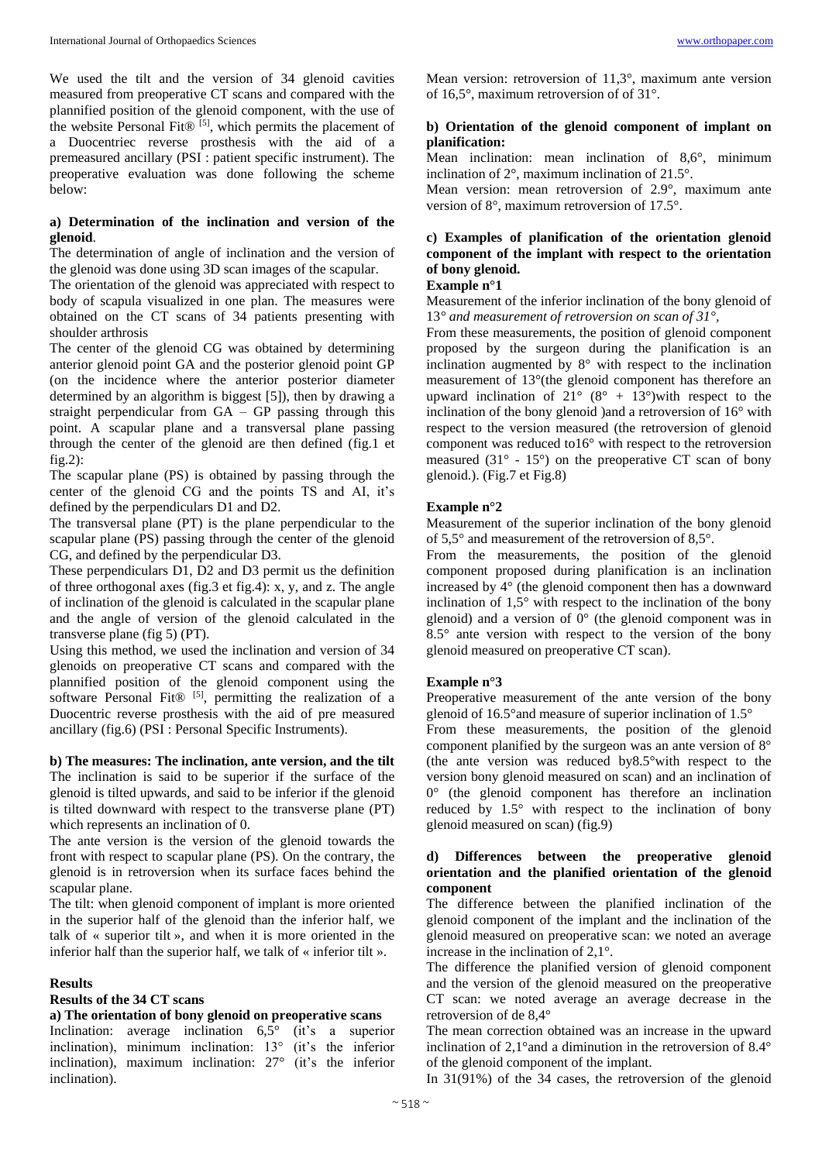We used the tilt and the version of 34 glenoid cavities measured from preoperative CT scans and compared with the plannified position of the glenoid component, with the use of the website Personal Fit® [5], which permits the placement of a Duocentriec reverse prosthesis with the aid of a premeasured ancillary (PSI : patient specific instrument). The preoperative evaluation was done following the scheme below:

# **a) Determination of the inclination and version of the glenoid**.

The determination of angle of inclination and the version of the glenoid was done using 3D scan images of the scapular.

The orientation of the glenoid was appreciated with respect to body of scapula visualized in one plan. The measures were obtained on the CT scans of 34 patients presenting with shoulder arthrosis

The center of the glenoid CG was obtained by determining anterior glenoid point GA and the posterior glenoid point GP (on the incidence where the anterior posterior diameter determined by an algorithm is biggest [5]), then by drawing a straight perpendicular from GA – GP passing through this point. A scapular plane and a transversal plane passing through the center of the glenoid are then defined (fig.1 et fig.2):

The scapular plane (PS) is obtained by passing through the center of the glenoid CG and the points TS and AI, it's defined by the perpendiculars D1 and D2.

The transversal plane (PT) is the plane perpendicular to the scapular plane (PS) passing through the center of the glenoid CG, and defined by the perpendicular D3.

These perpendiculars D1, D2 and D3 permit us the definition of three orthogonal axes (fig.3 et fig.4): x, y, and z. The angle of inclination of the glenoid is calculated in the scapular plane and the angle of version of the glenoid calculated in the transverse plane (fig 5) (PT).

Using this method, we used the inclination and version of 34 glenoids on preoperative CT scans and compared with the plannified position of the glenoid component using the software Personal Fit® [5], permitting the realization of a Duocentric reverse prosthesis with the aid of pre measured ancillary (fig.6) (PSI : Personal Specific Instruments).

## **b) The measures: The inclination, ante version, and the tilt** The inclination is said to be superior if the surface of the glenoid is tilted upwards, and said to be inferior if the glenoid is tilted downward with respect to the transverse plane (PT) which represents an inclination of 0.

The ante version is the version of the glenoid towards the front with respect to scapular plane (PS). On the contrary, the glenoid is in retroversion when its surface faces behind the scapular plane.

The tilt: when glenoid component of implant is more oriented in the superior half of the glenoid than the inferior half, we talk of « superior tilt », and when it is more oriented in the inferior half than the superior half, we talk of « inferior tilt ».

#### **Results**

## **Results of the 34 CT scans**

#### **a) The orientation of bony glenoid on preoperative scans**

Inclination: average inclination 6,5° (it's a superior inclination), minimum inclination: 13° (it's the inferior inclination), maximum inclination: 27° (it's the inferior inclination).

Mean version: retroversion of 11,3°, maximum ante version of 16,5°, maximum retroversion of of 31°.

## **b) Orientation of the glenoid component of implant on planification:**

Mean inclination: mean inclination of 8,6°, minimum inclination of 2°, maximum inclination of 21.5°.

Mean version: mean retroversion of 2.9°, maximum ante version of 8°, maximum retroversion of 17.5°.

# **c) Examples of planification of the orientation glenoid component of the implant with respect to the orientation of bony glenoid.**

## **Example n°1**

Measurement of the inferior inclination of the bony glenoid of 13*° and measurement of retroversion on scan of 31°,*

From these measurements, the position of glenoid component proposed by the surgeon during the planification is an inclination augmented by 8° with respect to the inclination measurement of 13°(the glenoid component has therefore an upward inclination of  $21^{\circ}$  (8° + 13°)with respect to the inclination of the bony glenoid )and a retroversion of 16° with respect to the version measured (the retroversion of glenoid component was reduced to16° with respect to the retroversion measured  $(31^{\circ} - 15^{\circ})$  on the preoperative CT scan of bony glenoid.). (Fig.7 et Fig.8)

## **Example n°2**

Measurement of the superior inclination of the bony glenoid of 5,5° and measurement of the retroversion of 8,5°.

From the measurements, the position of the glenoid component proposed during planification is an inclination increased by 4° (the glenoid component then has a downward inclination of 1,5° with respect to the inclination of the bony glenoid) and a version of  $0^{\circ}$  (the glenoid component was in 8.5° ante version with respect to the version of the bony glenoid measured on preoperative CT scan).

## **Example n°3**

Preoperative measurement of the ante version of the bony glenoid of 16.5°and measure of superior inclination of 1.5°

From these measurements, the position of the glenoid component planified by the surgeon was an ante version of 8° (the ante version was reduced by8.5°with respect to the version bony glenoid measured on scan) and an inclination of 0° (the glenoid component has therefore an inclination reduced by 1.5° with respect to the inclination of bony glenoid measured on scan) (fig.9)

## **d) Differences between the preoperative glenoid orientation and the planified orientation of the glenoid component**

The difference between the planified inclination of the glenoid component of the implant and the inclination of the glenoid measured on preoperative scan: we noted an average increase in the inclination of 2,1°.

The difference the planified version of glenoid component and the version of the glenoid measured on the preoperative CT scan: we noted average an average decrease in the retroversion of de 8,4°

The mean correction obtained was an increase in the upward inclination of 2,1°and a diminution in the retroversion of 8.4° of the glenoid component of the implant.

In 31(91%) of the 34 cases, the retroversion of the glenoid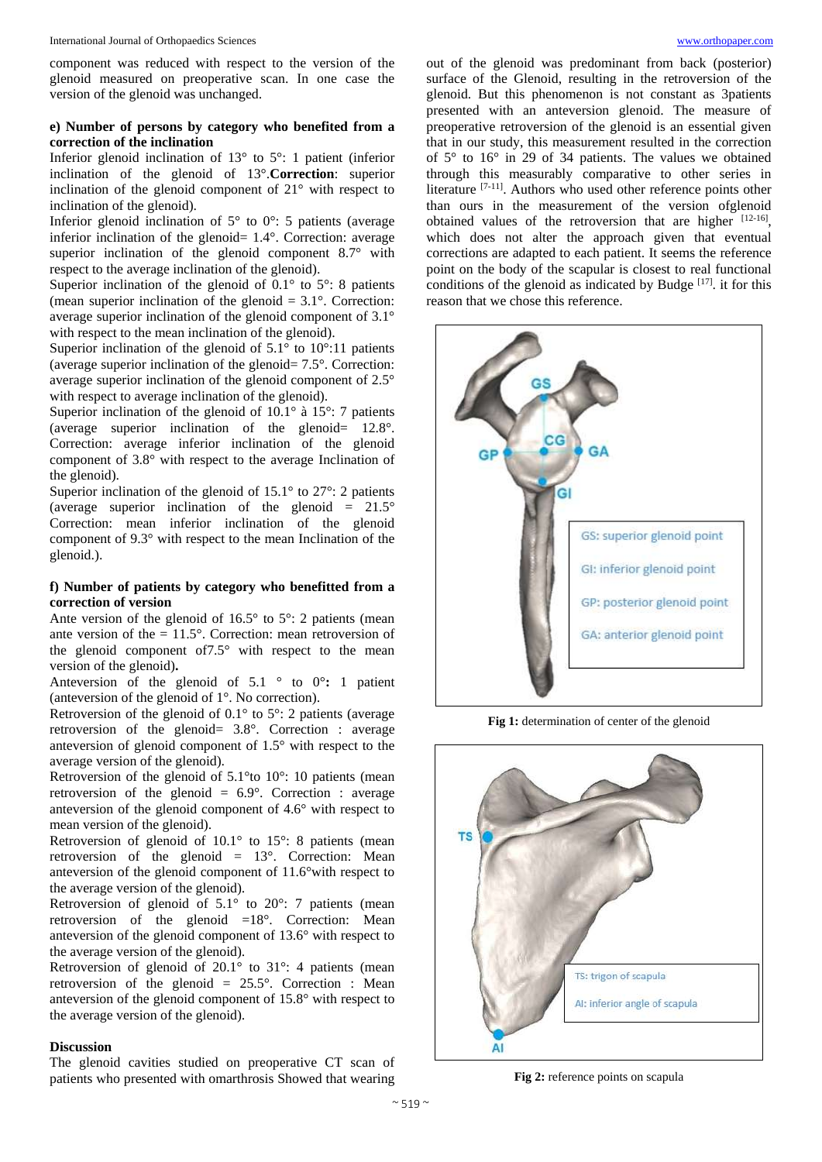component was reduced with respect to the version of the glenoid measured on preoperative scan. In one case the version of the glenoid was unchanged.

# **e) Number of persons by category who benefited from a correction of the inclination**

Inferior glenoid inclination of 13° to 5°: 1 patient (inferior inclination of the glenoid of 13°.**Correction**: superior inclination of the glenoid component of 21° with respect to inclination of the glenoid).

Inferior glenoid inclination of  $5^\circ$  to  $0^\circ$ : 5 patients (average inferior inclination of the glenoid= 1.4°. Correction: average superior inclination of the glenoid component 8.7° with respect to the average inclination of the glenoid).

Superior inclination of the glenoid of  $0.1^\circ$  to  $5^\circ$ : 8 patients (mean superior inclination of the glenoid  $= 3.1^{\circ}$ . Correction: average superior inclination of the glenoid component of 3.1° with respect to the mean inclination of the glenoid).

Superior inclination of the glenoid of  $5.1^\circ$  to  $10^\circ:11$  patients (average superior inclination of the glenoid= 7.5°. Correction: average superior inclination of the glenoid component of 2.5° with respect to average inclination of the glenoid).

Superior inclination of the glenoid of 10.1° à 15°: 7 patients (average superior inclination of the glenoid= 12.8°. Correction: average inferior inclination of the glenoid component of 3.8° with respect to the average Inclination of the glenoid).

Superior inclination of the glenoid of  $15.1^\circ$  to  $27^\circ$ : 2 patients (average superior inclination of the glenoid  $= 21.5^{\circ}$ Correction: mean inferior inclination of the glenoid component of 9.3° with respect to the mean Inclination of the glenoid.).

## **f) Number of patients by category who benefitted from a correction of version**

Ante version of the glenoid of  $16.5^\circ$  to  $5^\circ$ : 2 patients (mean ante version of the = 11.5°. Correction: mean retroversion of the glenoid component of7.5° with respect to the mean version of the glenoid)**.**

Anteversion of the glenoid of  $5.1 \degree$  to  $0^{\circ}$ : 1 patient (anteversion of the glenoid of 1°. No correction).

Retroversion of the glenoid of 0.1° to 5°: 2 patients (average retroversion of the glenoid= 3.8°. Correction : average anteversion of glenoid component of 1.5° with respect to the average version of the glenoid).

Retroversion of the glenoid of 5.1°to 10°: 10 patients (mean retroversion of the glenoid =  $6.9^{\circ}$ . Correction : average anteversion of the glenoid component of 4.6° with respect to mean version of the glenoid).

Retroversion of glenoid of 10.1° to 15°: 8 patients (mean retroversion of the glenoid = 13°. Correction: Mean anteversion of the glenoid component of 11.6°with respect to the average version of the glenoid).

Retroversion of glenoid of 5.1° to 20°: 7 patients (mean retroversion of the glenoid  $=18^\circ$ . Correction: Mean anteversion of the glenoid component of 13.6° with respect to the average version of the glenoid).

Retroversion of glenoid of 20.1° to 31°: 4 patients (mean retroversion of the glenoid = 25.5°. Correction : Mean anteversion of the glenoid component of 15.8° with respect to the average version of the glenoid).

## **Discussion**

The glenoid cavities studied on preoperative CT scan of patients who presented with omarthrosis Showed that wearing

out of the glenoid was predominant from back (posterior) surface of the Glenoid, resulting in the retroversion of the glenoid. But this phenomenon is not constant as 3patients presented with an anteversion glenoid. The measure of preoperative retroversion of the glenoid is an essential given that in our study, this measurement resulted in the correction of 5° to 16° in 29 of 34 patients. The values we obtained through this measurably comparative to other series in literature <sup>[7-11]</sup>. Authors who used other reference points other than ours in the measurement of the version ofglenoid obtained values of the retroversion that are higher  $[12-16]$ , which does not alter the approach given that eventual corrections are adapted to each patient. It seems the reference point on the body of the scapular is closest to real functional conditions of the glenoid as indicated by Budge  $[17]$ . it for this reason that we chose this reference.



**Fig 1:** determination of center of the glenoid



**Fig 2:** reference points on scapula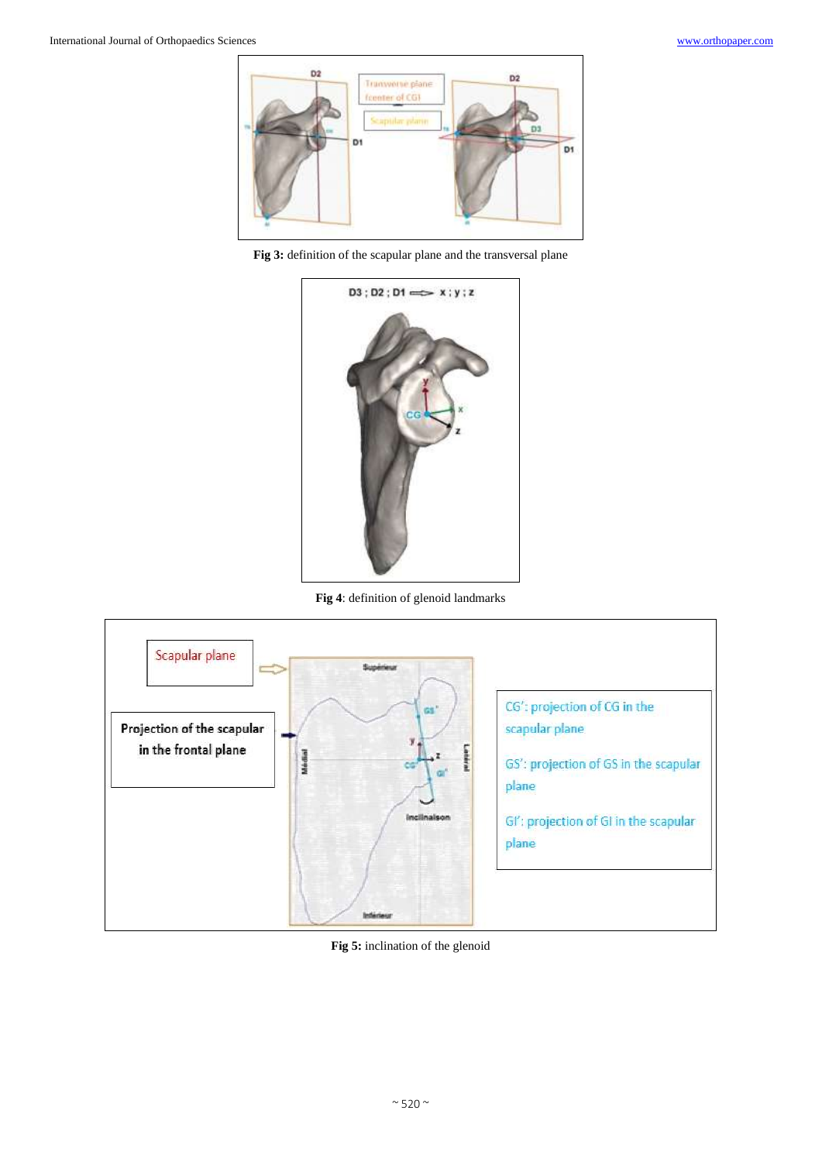

**Fig 3:** definition of the scapular plane and the transversal plane



**Fig 4**: definition of glenoid landmarks



**Fig 5:** inclination of the glenoid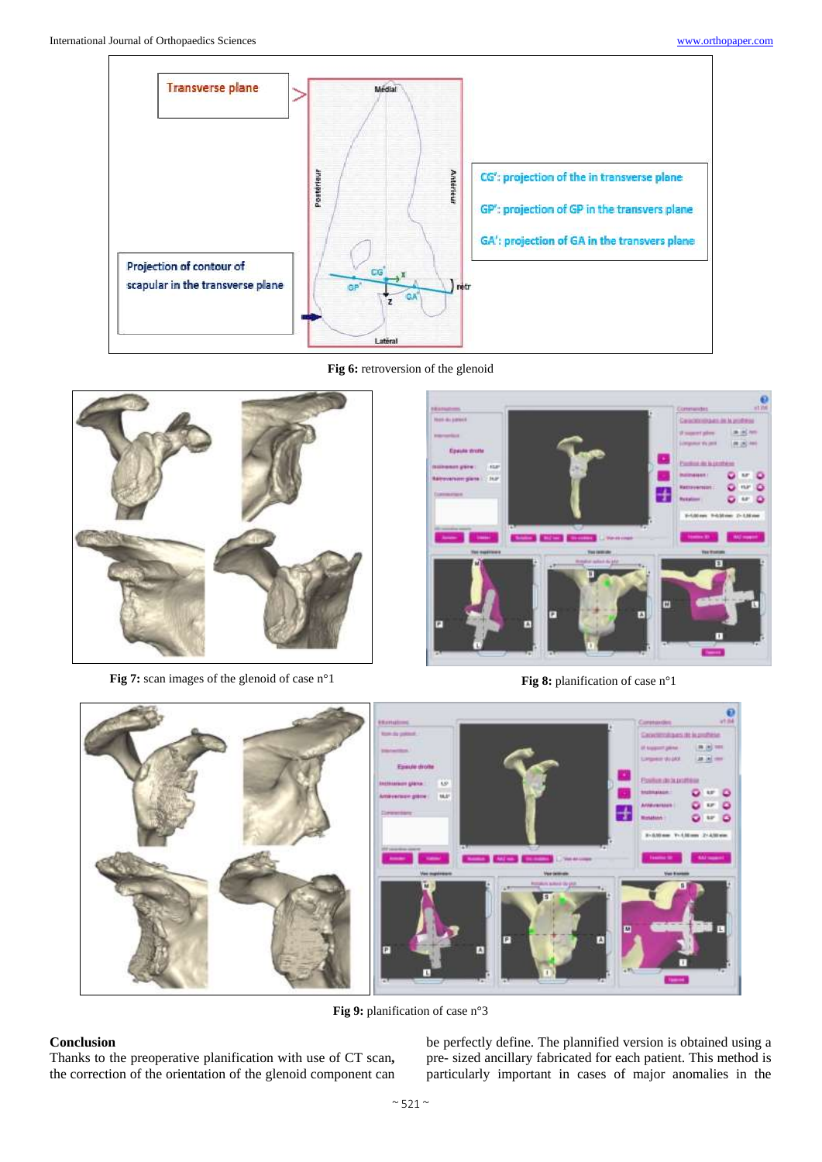

**Fig 6:** retroversion of the glenoid



**Fig 7:** scan images of the glenoid of case n°1 **Fig 8:** planification of case n°1





**Fig 9:** planification of case n°3

# **Conclusion**

Thanks to the preoperative planification with use of CT scan**,**  the correction of the orientation of the glenoid component can

be perfectly define. The plannified version is obtained using a pre- sized ancillary fabricated for each patient. This method is particularly important in cases of major anomalies in the